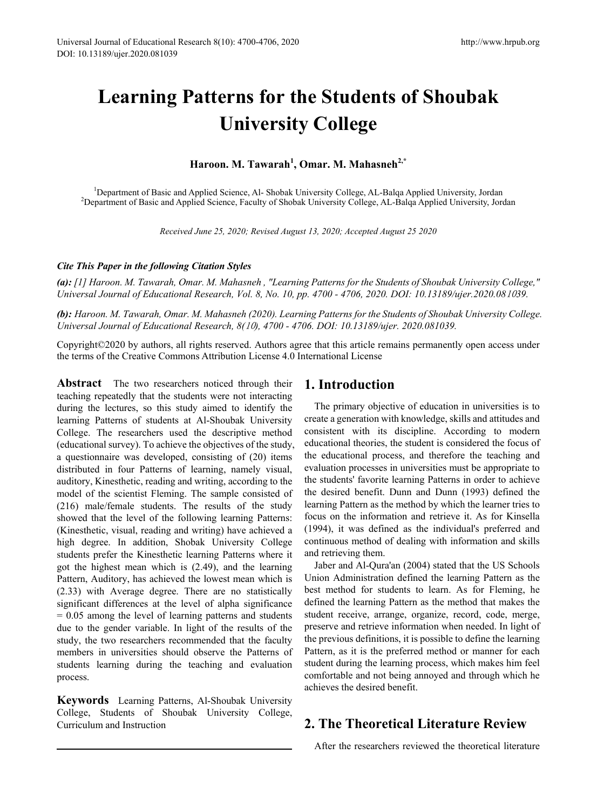# **Learning Patterns for the Students of Shoubak University College**

# **Haroon. M. Tawarah1 , Omar. M. Mahasneh2,\***

<sup>1</sup>Department of Basic and Applied Science, Al- Shobak University College, AL-Balqa Applied University, Jordan <sup>2</sup>Department of Basic and Applied Science, Eaculty of Shobak University College, AL-Balga Applied University, <sup>2</sup>Department of Basic and Applied Science, Faculty of Shobak University College, AL-Balqa Applied University, Jordan

*Received June 25, 2020; Revised August 13, 2020; Accepted August 25 2020* 

## *Cite This Paper in the following Citation Styles*

*(a): [1] Haroon. M. Tawarah, Omar. M. Mahasneh , "Learning Patterns for the Students of Shoubak University College," Universal Journal of Educational Research, Vol. 8, No. 10, pp. 4700 - 4706, 2020. DOI: 10.13189/ujer.2020.08*10*39.* 

*(b): Haroon. M. Tawarah, Omar. M. Mahasneh (2020). Learning Patterns for the Students of Shoubak University College. Universal Journal of Educational Research, 8(*10*), 4700 - 4706. DOI: 10.13189/ujer. 2020.081039.* 

Copyright©2020 by authors, all rights reserved. Authors agree that this article remains permanently open access under the terms of the Creative Commons Attribution License 4.0 International License

**Abstract** The two researchers noticed through their teaching repeatedly that the students were not interacting during the lectures, so this study aimed to identify the learning Patterns of students at Al-Shoubak University College. The researchers used the descriptive method (educational survey). To achieve the objectives of the study, a questionnaire was developed, consisting of (20) items distributed in four Patterns of learning, namely visual, auditory, Kinesthetic, reading and writing, according to the model of the scientist Fleming. The sample consisted of (216) male/female students. The results of the study showed that the level of the following learning Patterns: (Kinesthetic, visual, reading and writing) have achieved a high degree. In addition, Shobak University College students prefer the Kinesthetic learning Patterns where it got the highest mean which is (2.49), and the learning Pattern, Auditory, has achieved the lowest mean which is (2.33) with Average degree. There are no statistically significant differences at the level of alpha significance  $= 0.05$  among the level of learning patterns and students due to the gender variable. In light of the results of the study, the two researchers recommended that the faculty members in universities should observe the Patterns of students learning during the teaching and evaluation process.

**Keywords** Learning Patterns, Al-Shoubak University College, Students of Shoubak University College, Curriculum and Instruction

# **1. Introduction**

The primary objective of education in universities is to create a generation with knowledge, skills and attitudes and consistent with its discipline. According to modern educational theories, the student is considered the focus of the educational process, and therefore the teaching and evaluation processes in universities must be appropriate to the students' favorite learning Patterns in order to achieve the desired benefit. Dunn and Dunn (1993) defined the learning Pattern as the method by which the learner tries to focus on the information and retrieve it. As for Kinsella (1994), it was defined as the individual's preferred and continuous method of dealing with information and skills and retrieving them.

Jaber and Al-Qura'an (2004) stated that the US Schools Union Administration defined the learning Pattern as the best method for students to learn. As for Fleming, he defined the learning Pattern as the method that makes the student receive, arrange, organize, record, code, merge, preserve and retrieve information when needed. In light of the previous definitions, it is possible to define the learning Pattern, as it is the preferred method or manner for each student during the learning process, which makes him feel comfortable and not being annoyed and through which he achieves the desired benefit.

# **2. The Theoretical Literature Review**

After the researchers reviewed the theoretical literature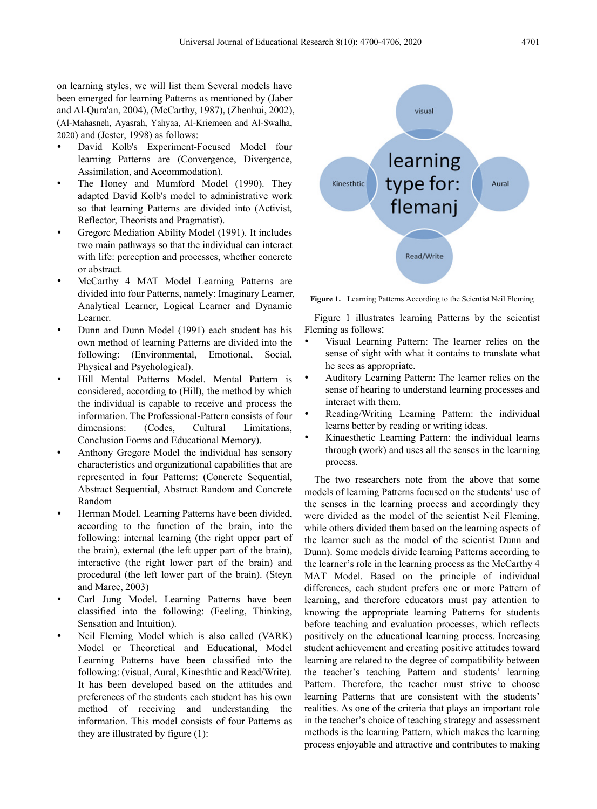on learning styles, we will list them Several models have been emerged for learning Patterns as mentioned by (Jaber and Al-Qura'an, 2004), (McCarthy, 1987), (Zhenhui, 2002), (Al-Mahasneh, Ayasrah, Yahyaa, Al-Kriemeen and Al-Swalha, 2020) and (Jester, 1998) as follows:

- David Kolb's Experiment-Focused Model four learning Patterns are (Convergence, Divergence, Assimilation, and Accommodation).
- The Honey and Mumford Model (1990). They adapted David Kolb's model to administrative work so that learning Patterns are divided into (Activist, Reflector, Theorists and Pragmatist).
- Gregorc Mediation Ability Model (1991). It includes two main pathways so that the individual can interact with life: perception and processes, whether concrete or abstract.
- McCarthy 4 MAT Model Learning Patterns are divided into four Patterns, namely: Imaginary Learner, Analytical Learner, Logical Learner and Dynamic Learner.
- Dunn and Dunn Model (1991) each student has his own method of learning Patterns are divided into the following: (Environmental, Emotional, Social, Physical and Psychological).
- Hill Mental Patterns Model. Mental Pattern is considered, according to (Hill), the method by which the individual is capable to receive and process the information. The Professional-Pattern consists of four dimensions: (Codes, Cultural Limitations, Conclusion Forms and Educational Memory).
- Anthony Gregorc Model the individual has sensory characteristics and organizational capabilities that are represented in four Patterns: (Concrete Sequential, Abstract Sequential, Abstract Random and Concrete Random
- Herman Model. Learning Patterns have been divided, according to the function of the brain, into the following: internal learning (the right upper part of the brain), external (the left upper part of the brain), interactive (the right lower part of the brain) and procedural (the left lower part of the brain). (Steyn and Marce, 2003)
- Carl Jung Model. Learning Patterns have been classified into the following: (Feeling, Thinking, Sensation and Intuition).
- Neil Fleming Model which is also called (VARK) Model or Theoretical and Educational, Model Learning Patterns have been classified into the following: (visual, Aural, Kinesthtic and Read/Write). It has been developed based on the attitudes and preferences of the students each student has his own method of receiving and understanding the information. This model consists of four Patterns as they are illustrated by figure (1):



**Figure 1.** Learning Patterns According to the Scientist Neil Fleming

Figure 1 illustrates learning Patterns by the scientist Fleming as follows:

- Visual Learning Pattern: The learner relies on the sense of sight with what it contains to translate what he sees as appropriate.
- Auditory Learning Pattern: The learner relies on the sense of hearing to understand learning processes and interact with them.
- Reading/Writing Learning Pattern: the individual learns better by reading or writing ideas.
- Kinaesthetic Learning Pattern: the individual learns through (work) and uses all the senses in the learning process.

The two researchers note from the above that some models of learning Patterns focused on the students' use of the senses in the learning process and accordingly they were divided as the model of the scientist Neil Fleming, while others divided them based on the learning aspects of the learner such as the model of the scientist Dunn and Dunn). Some models divide learning Patterns according to the learner's role in the learning process as the McCarthy 4 MAT Model. Based on the principle of individual differences, each student prefers one or more Pattern of learning, and therefore educators must pay attention to knowing the appropriate learning Patterns for students before teaching and evaluation processes, which reflects positively on the educational learning process. Increasing student achievement and creating positive attitudes toward learning are related to the degree of compatibility between the teacher's teaching Pattern and students' learning Pattern. Therefore, the teacher must strive to choose learning Patterns that are consistent with the students' realities. As one of the criteria that plays an important role in the teacher's choice of teaching strategy and assessment methods is the learning Pattern, which makes the learning process enjoyable and attractive and contributes to making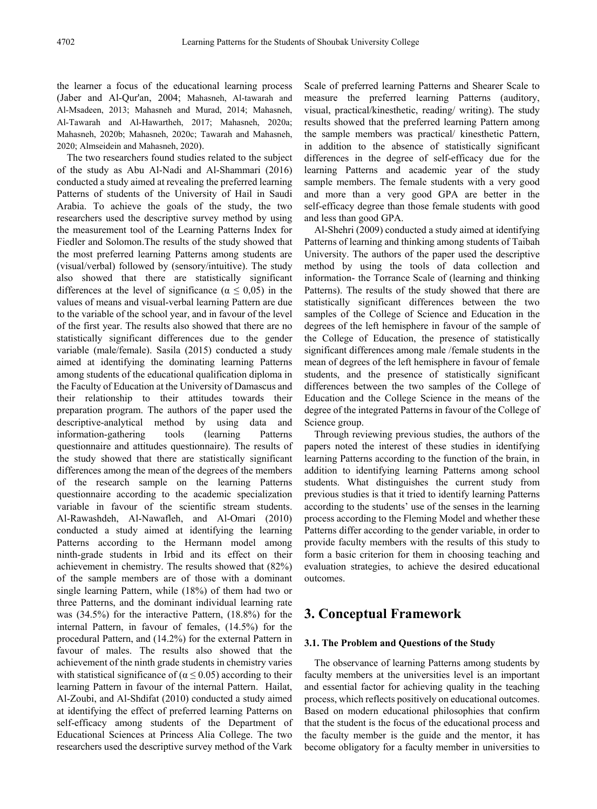the learner a focus of the educational learning process (Jaber and Al-Qur'an, 2004; Mahasneh, Al-tawarah and Al-Msadeen, 2013; Mahasneh and Murad, 2014; Mahasneh, Al-Tawarah and Al-Hawartheh, 2017; Mahasneh, 2020a; Mahasneh, 2020b; Mahasneh, 2020c; Tawarah and Mahasneh, 2020; Almseidein and Mahasneh, 2020).

The two researchers found studies related to the subject of the study as Abu Al-Nadi and Al-Shammari (2016) conducted a study aimed at revealing the preferred learning Patterns of students of the University of Hail in Saudi Arabia. To achieve the goals of the study, the two researchers used the descriptive survey method by using the measurement tool of the Learning Patterns Index for Fiedler and Solomon.The results of the study showed that the most preferred learning Patterns among students are (visual/verbal) followed by (sensory/intuitive). The study also showed that there are statistically significant differences at the level of significance ( $\alpha \leq 0.05$ ) in the values of means and visual-verbal learning Pattern are due to the variable of the school year, and in favour of the level of the first year. The results also showed that there are no statistically significant differences due to the gender variable (male/female). Sasila (2015) conducted a study aimed at identifying the dominating learning Patterns among students of the educational qualification diploma in the Faculty of Education at the University of Damascus and their relationship to their attitudes towards their preparation program. The authors of the paper used the descriptive-analytical method by using data and information-gathering tools (learning Patterns questionnaire and attitudes questionnaire). The results of the study showed that there are statistically significant differences among the mean of the degrees of the members of the research sample on the learning Patterns questionnaire according to the academic specialization variable in favour of the scientific stream students. Al-Rawashdeh, Al-Nawafleh, and Al-Omari (2010) conducted a study aimed at identifying the learning Patterns according to the Hermann model among ninth-grade students in Irbid and its effect on their achievement in chemistry. The results showed that (82%) of the sample members are of those with a dominant single learning Pattern, while (18%) of them had two or three Patterns, and the dominant individual learning rate was (34.5%) for the interactive Pattern, (18.8%) for the internal Pattern, in favour of females, (14.5%) for the procedural Pattern, and (14.2%) for the external Pattern in favour of males. The results also showed that the achievement of the ninth grade students in chemistry varies with statistical significance of ( $\alpha \le 0.05$ ) according to their learning Pattern in favour of the internal Pattern. Hailat, Al-Zoubi, and Al-Shdifat (2010) conducted a study aimed at identifying the effect of preferred learning Patterns on self-efficacy among students of the Department of Educational Sciences at Princess Alia College. The two researchers used the descriptive survey method of the Vark

Scale of preferred learning Patterns and Shearer Scale to measure the preferred learning Patterns (auditory, visual, practical/kinesthetic, reading/ writing). The study results showed that the preferred learning Pattern among the sample members was practical/ kinesthetic Pattern, in addition to the absence of statistically significant differences in the degree of self-efficacy due for the learning Patterns and academic year of the study sample members. The female students with a very good and more than a very good GPA are better in the self-efficacy degree than those female students with good and less than good GPA.

Al-Shehri (2009) conducted a study aimed at identifying Patterns of learning and thinking among students of Taibah University. The authors of the paper used the descriptive method by using the tools of data collection and information- the Torrance Scale of (learning and thinking Patterns). The results of the study showed that there are statistically significant differences between the two samples of the College of Science and Education in the degrees of the left hemisphere in favour of the sample of the College of Education, the presence of statistically significant differences among male /female students in the mean of degrees of the left hemisphere in favour of female students, and the presence of statistically significant differences between the two samples of the College of Education and the College Science in the means of the degree of the integrated Patterns in favour of the College of Science group.

Through reviewing previous studies, the authors of the papers noted the interest of these studies in identifying learning Patterns according to the function of the brain, in addition to identifying learning Patterns among school students. What distinguishes the current study from previous studies is that it tried to identify learning Patterns according to the students' use of the senses in the learning process according to the Fleming Model and whether these Patterns differ according to the gender variable, in order to provide faculty members with the results of this study to form a basic criterion for them in choosing teaching and evaluation strategies, to achieve the desired educational outcomes.

# **3. Conceptual Framework**

# **3.1. The Problem and Questions of the Study**

The observance of learning Patterns among students by faculty members at the universities level is an important and essential factor for achieving quality in the teaching process, which reflects positively on educational outcomes. Based on modern educational philosophies that confirm that the student is the focus of the educational process and the faculty member is the guide and the mentor, it has become obligatory for a faculty member in universities to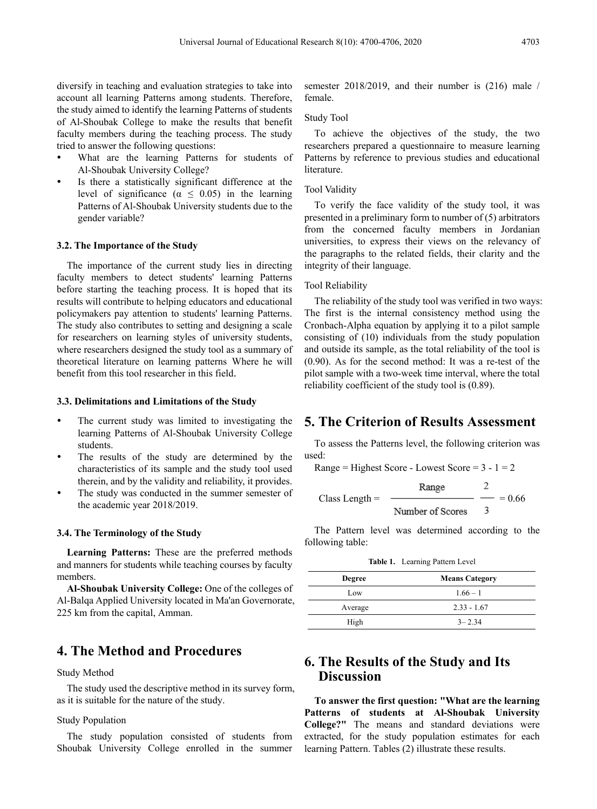diversify in teaching and evaluation strategies to take into account all learning Patterns among students. Therefore, the study aimed to identify the learning Patterns of students of Al-Shoubak College to make the results that benefit faculty members during the teaching process. The study tried to answer the following questions:

- What are the learning Patterns for students of Al-Shoubak University College?
- Is there a statistically significant difference at the level of significance ( $\alpha \leq 0.05$ ) in the learning Patterns of Al-Shoubak University students due to the gender variable?

## **3.2. The Importance of the Study**

The importance of the current study lies in directing faculty members to detect students' learning Patterns before starting the teaching process. It is hoped that its results will contribute to helping educators and educational policymakers pay attention to students' learning Patterns. The study also contributes to setting and designing a scale for researchers on learning styles of university students, where researchers designed the study tool as a summary of theoretical literature on learning patterns Where he will benefit from this tool researcher in this field.

#### **3.3. Delimitations and Limitations of the Study**

- The current study was limited to investigating the learning Patterns of Al-Shoubak University College students.
- The results of the study are determined by the characteristics of its sample and the study tool used therein, and by the validity and reliability, it provides.
- The study was conducted in the summer semester of the academic year 2018/2019.

## **3.4. The Terminology of the Study**

**Learning Patterns:** These are the preferred methods and manners for students while teaching courses by faculty members.

**Al-Shoubak University College:** One of the colleges of Al-Balqa Applied University located in Ma'an Governorate, 225 km from the capital, Amman.

# **4. The Method and Procedures**

#### Study Method

The study used the descriptive method in its survey form, as it is suitable for the nature of the study.

## Study Population

The study population consisted of students from Shoubak University College enrolled in the summer semester 2018/2019, and their number is (216) male / female.

## Study Tool

To achieve the objectives of the study, the two researchers prepared a questionnaire to measure learning Patterns by reference to previous studies and educational **literature** 

## Tool Validity

To verify the face validity of the study tool, it was presented in a preliminary form to number of (5) arbitrators from the concerned faculty members in Jordanian universities, to express their views on the relevancy of the paragraphs to the related fields, their clarity and the integrity of their language.

## Tool Reliability

The reliability of the study tool was verified in two ways: The first is the internal consistency method using the Cronbach-Alpha equation by applying it to a pilot sample consisting of (10) individuals from the study population and outside its sample, as the total reliability of the tool is (0.90). As for the second method: It was a re-test of the pilot sample with a two-week time interval, where the total reliability coefficient of the study tool is (0.89).

# **5. The Criterion of Results Assessment**

To assess the Patterns level, the following criterion was used:

Range = Highest Score - Lowest Score =  $3 - 1 = 2$ 

Class Length = 
$$
\frac{\text{Range}}{\text{Number of scores}} = \frac{2}{3} = 0.66
$$

The Pattern level was determined according to the following table:

**Table 1.** Learning Pattern Level

| <b>Degree</b> | <b>Means Category</b> |
|---------------|-----------------------|
| Low           | $1.66 - 1$            |
| Average       | $2.33 - 1.67$         |
| High          | $3 - 2.34$            |

# **6. The Results of the Study and Its Discussion**

**To answer the first question: "What are the learning Patterns of students at Al-Shoubak University College?"** The means and standard deviations were extracted, for the study population estimates for each learning Pattern. Tables (2) illustrate these results.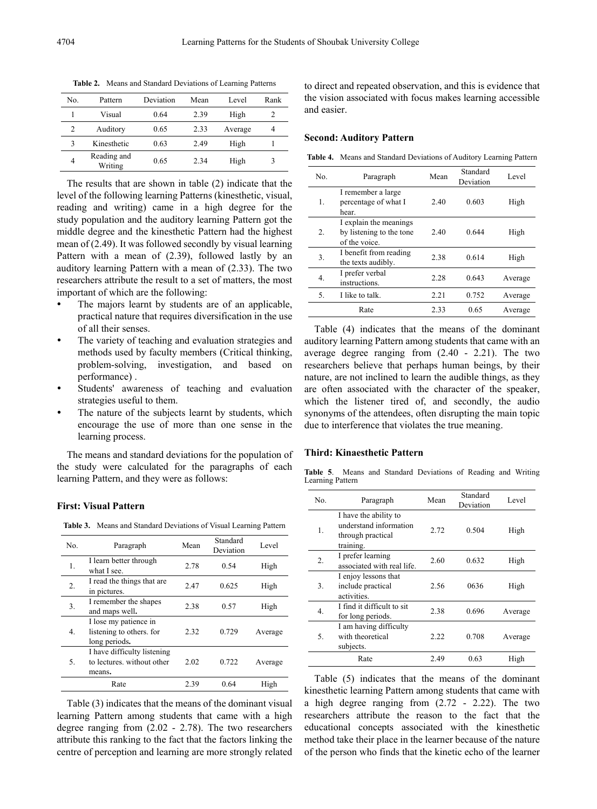| No. | Pattern                | Deviation | Mean | Level   | Rank |
|-----|------------------------|-----------|------|---------|------|
|     | Visual                 | 0.64      | 2.39 | High    | 2    |
|     | Auditory               | 0.65      | 2.33 | Average | 4    |
| 3   | Kinesthetic            | 0.63      | 2.49 | High    |      |
| 4   | Reading and<br>Writing | 0.65      | 2.34 | High    | 3    |

**Table 2.** Means and Standard Deviations of Learning Patterns

The results that are shown in table (2) indicate that the level of the following learning Patterns (kinesthetic, visual, reading and writing) came in a high degree for the study population and the auditory learning Pattern got the middle degree and the kinesthetic Pattern had the highest mean of (2.49). It was followed secondly by visual learning Pattern with a mean of (2.39), followed lastly by an auditory learning Pattern with a mean of (2.33). The two researchers attribute the result to a set of matters, the most important of which are the following:

- The majors learnt by students are of an applicable, practical nature that requires diversification in the use of all their senses.
- The variety of teaching and evaluation strategies and methods used by faculty members (Critical thinking, problem-solving, investigation, and based on performance) .
- Students' awareness of teaching and evaluation strategies useful to them.
- The nature of the subjects learnt by students, which encourage the use of more than one sense in the learning process.

The means and standard deviations for the population of the study were calculated for the paragraphs of each learning Pattern, and they were as follows:

## **First: Visual Pattern**

**Table 3.** Means and Standard Deviations of Visual Learning Pattern

| No.         | Paragraph                                                           | Mean | Standard<br>Deviation | Level   |
|-------------|---------------------------------------------------------------------|------|-----------------------|---------|
| 1.          | I learn better through<br>what I see.                               | 2.78 | 0.54                  | High    |
| 2.          | I read the things that are<br>in pictures.                          | 2.47 | 0.625                 | High    |
| 3.          | I remember the shapes<br>and maps well.                             | 2.38 | 0.57                  | High    |
| $4_{\cdot}$ | I lose my patience in<br>listening to others. for<br>long periods.  | 2.32 | 0.729                 | Average |
| 5.          | I have difficulty listening<br>to lectures, without other<br>means. | 2.02 | 0.722                 | Average |
|             | Rate                                                                | 2.39 | 0.64                  | High    |

Table (3) indicates that the means of the dominant visual learning Pattern among students that came with a high degree ranging from (2.02 - 2.78). The two researchers attribute this ranking to the fact that the factors linking the centre of perception and learning are more strongly related to direct and repeated observation, and this is evidence that the vision associated with focus makes learning accessible and easier.

#### **Second: Auditory Pattern**

**Table 4.** Means and Standard Deviations of Auditory Learning Pattern

| No.              | Paragraph                                                           | Mean | Standard<br>Deviation | Level   |
|------------------|---------------------------------------------------------------------|------|-----------------------|---------|
| $\mathbf{1}$ .   | I remember a large<br>percentage of what I<br>hear.                 | 2.40 | 0.603                 | High    |
| $\overline{2}$ . | I explain the meanings<br>by listening to the tone<br>of the voice. | 2.40 | 0.644                 | High    |
| 3.               | I benefit from reading<br>the texts audibly.                        | 2.38 | 0.614                 | High    |
| 4.               | I prefer verbal<br>instructions.                                    | 2.28 | 0.643                 | Average |
| 5.               | I like to talk.                                                     | 2.21 | 0.752                 | Average |
|                  | Rate                                                                | 2.33 | 0.65                  | Average |

Table (4) indicates that the means of the dominant auditory learning Pattern among students that came with an average degree ranging from (2.40 - 2.21). The two researchers believe that perhaps human beings, by their nature, are not inclined to learn the audible things, as they are often associated with the character of the speaker, which the listener tired of, and secondly, the audio synonyms of the attendees, often disrupting the main topic due to interference that violates the true meaning.

## **Third: Kinaesthetic Pattern**

**Table 5**. Means and Standard Deviations of Reading and Writing Learning Pattern

| No.              | Paragraph                                                                         | Mean | Standard<br>Deviation | Level   |
|------------------|-----------------------------------------------------------------------------------|------|-----------------------|---------|
| 1.               | I have the ability to<br>understand information<br>through practical<br>training. | 2.72 | 0.504                 | High    |
| $\overline{2}$ . | I prefer learning<br>associated with real life.                                   | 2.60 | 0.632                 | High    |
| 3.               | I enjoy lessons that<br>include practical<br>activities.                          | 2.56 | 0636                  | High    |
| 4.               | I find it difficult to sit<br>for long periods.                                   | 2.38 | 0.696                 | Average |
| 5.               | I am having difficulty<br>with theoretical<br>subjects.                           | 2.22 | 0.708                 | Average |
|                  | Rate                                                                              | 2.49 | 0.63                  | High    |

Table (5) indicates that the means of the dominant kinesthetic learning Pattern among students that came with a high degree ranging from (2.72 - 2.22). The two researchers attribute the reason to the fact that the educational concepts associated with the kinesthetic method take their place in the learner because of the nature of the person who finds that the kinetic echo of the learner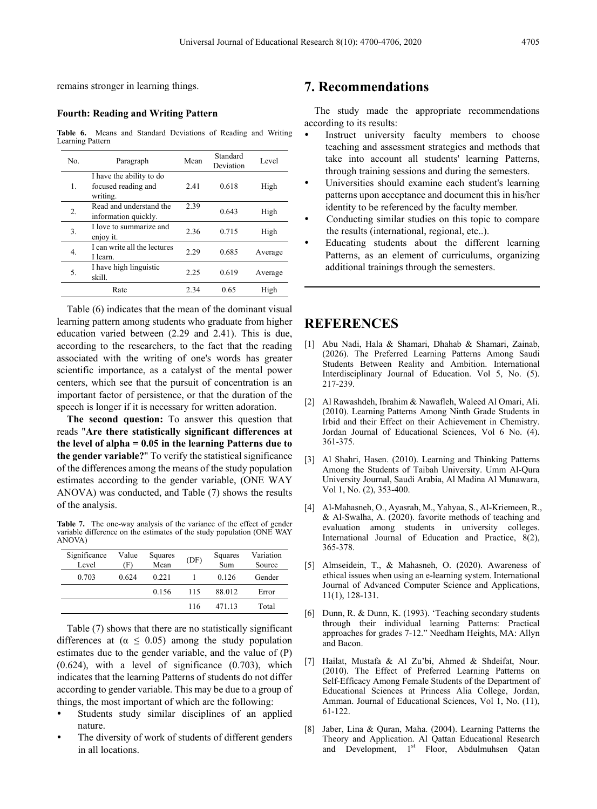remains stronger in learning things.

## **Fourth: Reading and Writing Pattern**

**Table 6.** Means and Standard Deviations of Reading and Writing Learning Pattern

| No.              | Paragraph                                                   | Mean | Standard<br>Deviation | Level   |
|------------------|-------------------------------------------------------------|------|-----------------------|---------|
| 1.               | I have the ability to do<br>focused reading and<br>writing. | 2.41 | 0.618                 | High    |
| $\overline{2}$ . | Read and understand the<br>information quickly.             | 2.39 | 0.643                 | High    |
| 3.               | I love to summarize and<br>enjoy it.                        | 2.36 | 0.715                 | High    |
| 4.               | I can write all the lectures<br>I learn.                    | 2.29 | 0.685                 | Average |
| 5.               | I have high linguistic<br>skill.                            | 2.25 | 0.619                 | Average |
|                  | Rate                                                        | 2.34 | 0.65                  | High    |

Table (6) indicates that the mean of the dominant visual learning pattern among students who graduate from higher education varied between (2.29 and 2.41). This is due, according to the researchers, to the fact that the reading associated with the writing of one's words has greater scientific importance, as a catalyst of the mental power centers, which see that the pursuit of concentration is an important factor of persistence, or that the duration of the speech is longer if it is necessary for written adoration.

**The second question:** To answer this question that reads "**Are there statistically significant differences at the level of alpha = 0.05 in the learning Patterns due to the gender variable?**" To verify the statistical significance of the differences among the means of the study population estimates according to the gender variable, (ONE WAY ANOVA) was conducted, and Table (7) shows the results of the analysis.

Table 7. The one-way analysis of the variance of the effect of gender variable difference on the estimates of the study population (ONE WAY ANOVA)

| Significance<br>Level | Value<br>(F) | Squares<br>Mean | (DF) | Squares<br>Sum | Variation<br>Source |
|-----------------------|--------------|-----------------|------|----------------|---------------------|
| 0.703                 | 0.624        | 0.221           |      | 0.126          | Gender              |
|                       |              | 0.156           | 115  | 88.012         | Error               |
|                       |              |                 | 116  | 471 13         | Total               |

Table (7) shows that there are no statistically significant differences at ( $\alpha \leq 0.05$ ) among the study population estimates due to the gender variable, and the value of (P)  $(0.624)$ , with a level of significance  $(0.703)$ , which indicates that the learning Patterns of students do not differ according to gender variable. This may be due to a group of things, the most important of which are the following:

- Students study similar disciplines of an applied nature.
- The diversity of work of students of different genders in all locations.

# **7. Recommendations**

The study made the appropriate recommendations according to its results:

- Instruct university faculty members to choose teaching and assessment strategies and methods that take into account all students' learning Patterns, through training sessions and during the semesters.
- Universities should examine each student's learning patterns upon acceptance and document this in his/her identity to be referenced by the faculty member.
- Conducting similar studies on this topic to compare the results (international, regional, etc..).
- Educating students about the different learning Patterns, as an element of curriculums, organizing additional trainings through the semesters.

## **REFERENCES**

- [1] Abu Nadi, Hala & Shamari, Dhahab & Shamari, Zainab, (2026). The Preferred Learning Patterns Among Saudi Students Between Reality and Ambition. International Interdisciplinary Journal of Education. Vol 5, No. (5). 217-239.
- [2] Al Rawashdeh, Ibrahim & Nawafleh, Waleed Al Omari, Ali. (2010). Learning Patterns Among Ninth Grade Students in Irbid and their Effect on their Achievement in Chemistry. Jordan Journal of Educational Sciences, Vol 6 No. (4). 361-375.
- [3] Al Shahri, Hasen. (2010). Learning and Thinking Patterns Among the Students of Taibah University. Umm Al-Qura University Journal, Saudi Arabia, Al Madina Al Munawara, Vol 1, No. (2), 353-400.
- [4] Al-Mahasneh, O., Ayasrah, M., Yahyaa, S., Al-Kriemeen, R., & Al-Swalha, A. (2020). favorite methods of teaching and evaluation among students in university colleges. International Journal of Education and Practice, 8(2), 365-378.
- [5] Almseidein, T., & Mahasneh, O. (2020). Awareness of ethical issues when using an e-learning system. International Journal of Advanced Computer Science and Applications, 11(1), 128-131.
- [6] Dunn, R. & Dunn, K. (1993). 'Teaching secondary students through their individual learning Patterns: Practical approaches for grades 7-12." Needham Heights, MA: Allyn and Bacon.
- [7] Hailat, Mustafa & Al Zu'bi, Ahmed & Shdeifat, Nour. (2010). The Effect of Preferred Learning Patterns on Self-Efficacy Among Female Students of the Department of Educational Sciences at Princess Alia College, Jordan, Amman. Journal of Educational Sciences, Vol 1, No. (11), 61-122.
- [8] Jaber, Lina & Quran, Maha. (2004). Learning Patterns the Theory and Application. Al Qattan Educational Research and Development, 1<sup>st</sup> Floor, Abdulmuhsen Qatan